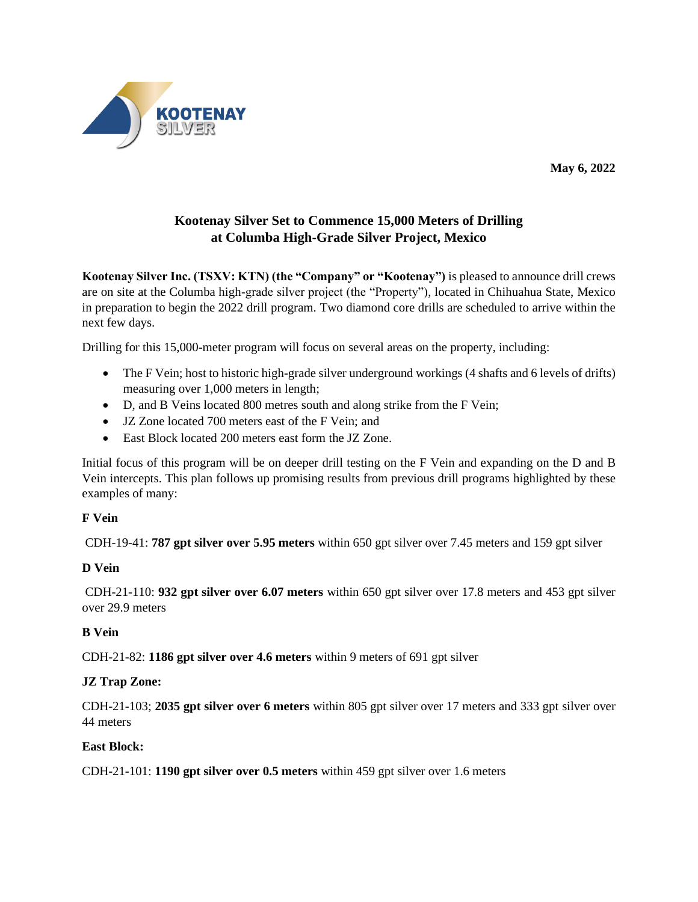

**May 6, 2022**

# **Kootenay Silver Set to Commence 15,000 Meters of Drilling at Columba High-Grade Silver Project, Mexico**

**Kootenay Silver Inc. (TSXV: KTN) (the "Company" or "Kootenay")** is pleased to announce drill crews are on site at the Columba high-grade silver project (the "Property"), located in Chihuahua State, Mexico in preparation to begin the 2022 drill program. Two diamond core drills are scheduled to arrive within the next few days.

Drilling for this 15,000-meter program will focus on several areas on the property, including:

- The F Vein; host to historic high-grade silver underground workings (4 shafts and 6 levels of drifts) measuring over 1,000 meters in length;
- D, and B Veins located 800 metres south and along strike from the F Vein;
- JZ Zone located 700 meters east of the F Vein; and
- East Block located 200 meters east form the JZ Zone.

Initial focus of this program will be on deeper drill testing on the F Vein and expanding on the D and B Vein intercepts. This plan follows up promising results from previous drill programs highlighted by these examples of many:

#### **F Vein**

CDH-19-41: **787 gpt silver over 5.95 meters** within 650 gpt silver over 7.45 meters and 159 gpt silver

#### **D Vein**

CDH-21-110: **932 gpt silver over 6.07 meters** within 650 gpt silver over 17.8 meters and 453 gpt silver over 29.9 meters

#### **B Vein**

CDH-21-82: **1186 gpt silver over 4.6 meters** within 9 meters of 691 gpt silver

#### **JZ Trap Zone:**

CDH-21-103; **2035 gpt silver over 6 meters** within 805 gpt silver over 17 meters and 333 gpt silver over 44 meters

#### **East Block:**

CDH-21-101: **1190 gpt silver over 0.5 meters** within 459 gpt silver over 1.6 meters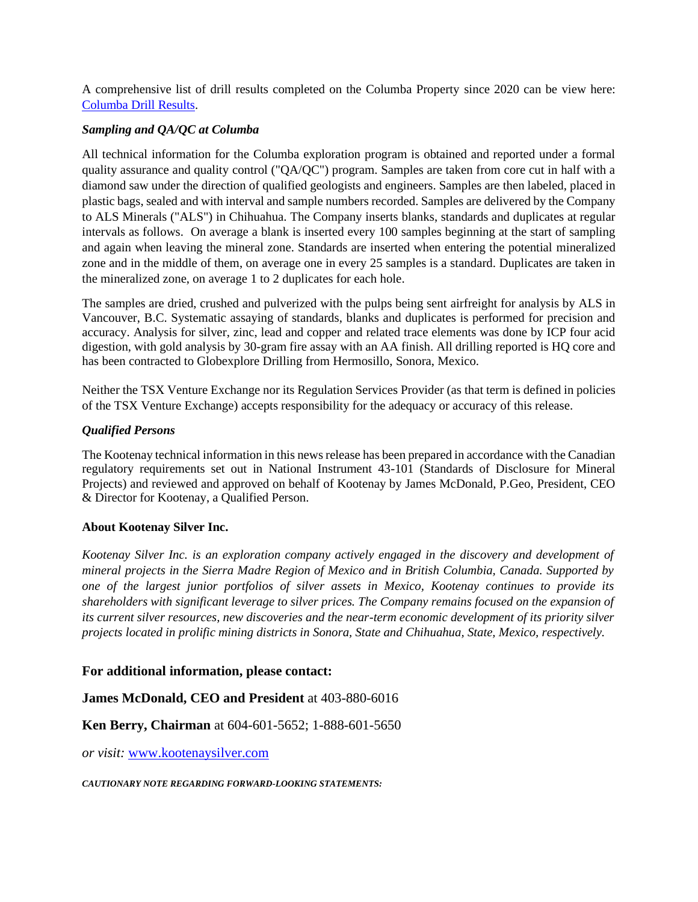A comprehensive list of drill results completed on the Columba Property since 2020 can be view here: [Columba Drill Results.](chrome-extension://efaidnbmnnnibpcajpcglclefindmkaj/https:/www.kootenaysilver.com/assets/img/projects/COLUMBA_DRILL_RESULTS-1to113.pdf)

### *Sampling and QA/QC at Columba*

All technical information for the Columba exploration program is obtained and reported under a formal quality assurance and quality control ("QA/QC") program. Samples are taken from core cut in half with a diamond saw under the direction of qualified geologists and engineers. Samples are then labeled, placed in plastic bags, sealed and with interval and sample numbers recorded. Samples are delivered by the Company to ALS Minerals ("ALS") in Chihuahua. The Company inserts blanks, standards and duplicates at regular intervals as follows. On average a blank is inserted every 100 samples beginning at the start of sampling and again when leaving the mineral zone. Standards are inserted when entering the potential mineralized zone and in the middle of them, on average one in every 25 samples is a standard. Duplicates are taken in the mineralized zone, on average 1 to 2 duplicates for each hole.

The samples are dried, crushed and pulverized with the pulps being sent airfreight for analysis by ALS in Vancouver, B.C. Systematic assaying of standards, blanks and duplicates is performed for precision and accuracy. Analysis for silver, zinc, lead and copper and related trace elements was done by ICP four acid digestion, with gold analysis by 30-gram fire assay with an AA finish. All drilling reported is HQ core and has been contracted to Globexplore Drilling from Hermosillo, Sonora, Mexico.

Neither the TSX Venture Exchange nor its Regulation Services Provider (as that term is defined in policies of the TSX Venture Exchange) accepts responsibility for the adequacy or accuracy of this release.

## *Qualified Persons*

The Kootenay technical information in this news release has been prepared in accordance with the Canadian regulatory requirements set out in National Instrument 43-101 (Standards of Disclosure for Mineral Projects) and reviewed and approved on behalf of Kootenay by James McDonald, P.Geo, President, CEO & Director for Kootenay, a Qualified Person.

#### **About Kootenay Silver Inc.**

*Kootenay Silver Inc. is an exploration company actively engaged in the discovery and development of mineral projects in the Sierra Madre Region of Mexico and in British Columbia, Canada. Supported by one of the largest junior portfolios of silver assets in Mexico, Kootenay continues to provide its shareholders with significant leverage to silver prices. The Company remains focused on the expansion of its current silver resources, new discoveries and the near-term economic development of its priority silver projects located in prolific mining districts in Sonora, State and Chihuahua, State, Mexico, respectively.*

#### **For additional information, please contact:**

**James McDonald, CEO and President** at 403-880-6016

**Ken Berry, Chairman** at 604-601-5652; 1-888-601-5650

*or visit:* [www.kootenaysilver.com](http://www.kootenaysilver.com/)

*CAUTIONARY NOTE REGARDING FORWARD-LOOKING STATEMENTS:*